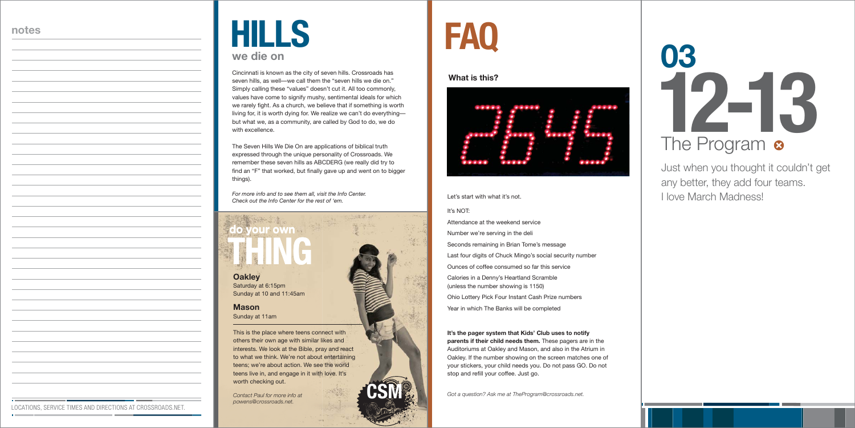## **FAQ**

#### Let's start with what it's not.

#### It's NOT:

Attendance at the weekend serviceNumber we're serving in the deli Seconds remaining in Brian Tome's message Last four digits of Chuck Mingo's social security number Ounces of coffee consumed so far this serviceCalories in a Denny's Heartland Scramble (unless the number showing is 1150) Ohio Lottery Pick Four Instant Cash Prize numbers Year in which The Banks will be completed

**It's the pager system that Kids' Club uses to notify parents if their child needs them.** These pagers are in the Auditoriums at Oakley and Mason, and also in the Atrium in Oakley. If the number showing on the screen matches one of your stickers, your child needs you. Do not pass GO. Do not stop and refill your coffee. Just go.

*Got a question? Ask me at TheProgram@crossroads.net.*

#### **What is this?**



#### **Oakley**

Saturday at 6:15pm Sunday at 10 and 11:45am

**Mason**Sunday at 11am

### **do your own do your THING THING**

This is the place where teens connect with others their own age with similar likes and interests. We look at the Bible, pray and react to what we think. We're not about entertaining teens; we're about action. We see the world teens live in, and engage in it with love. It's worth checking out.

## **12-13 03** The Program <sup>®</sup>

*Contact Paul for more info at powens@crossroads.net.*

**CSM**

Cincinnati is known as the city of seven hills. Crossroads has seven hills, as well—we call them the "seven hills we die on." Simply calling these "values" doesn't cut it. All too commonly, values have come to signify mushy, sentimental ideals for which we rarely fight. As a church, we believe that if something is worth living for, it is worth dying for. We realize we can't do everything but what we, as a community, are called by God to do, we do with excellence.

### **HILLS we die on**

The Seven Hills We Die On are applications of biblical truth expressed through the unique personality of Crossroads. We remember these seven hills as ABCDERG (we really did try to find an "F" that worked, but finally gave up and went on to bigger things).

6920139

*For more info and to see them all, visit the Info Center. Check out the Info Center for the rest of 'em.*

Just when you thought it couldn't get any better, they add four teams. I love March Madness!

#### **notes**

LOCATIONS, SERVICE TIMES AND DIRECTIONS AT CROSSROADS.NET.